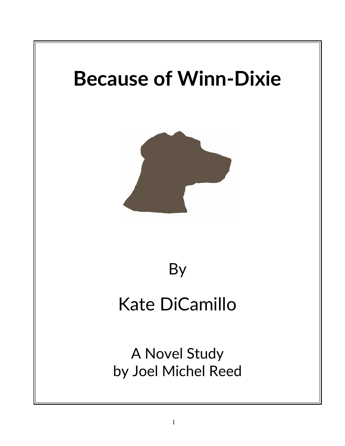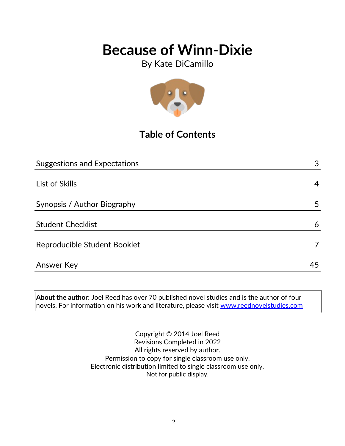By Kate DiCamillo



## **Table of Contents**

| <b>Suggestions and Expectations</b> | 3  |
|-------------------------------------|----|
|                                     |    |
| List of Skills                      | 4  |
|                                     |    |
| Synopsis / Author Biography         | 5  |
|                                     |    |
| <b>Student Checklist</b>            | 6  |
| Reproducible Student Booklet        |    |
|                                     |    |
| <b>Answer Key</b>                   | 45 |

**About the author:** Joel Reed has over 70 published novel studies and is the author of four novels. For information on his work and literature, please visit [www.reednovelstudies.com](http://www.reednovelstudies.com/)

> Copyright © 2014 Joel Reed Revisions Completed in 2022 All rights reserved by author. Permission to copy for single classroom use only. Electronic distribution limited to single classroom use only. Not for public display.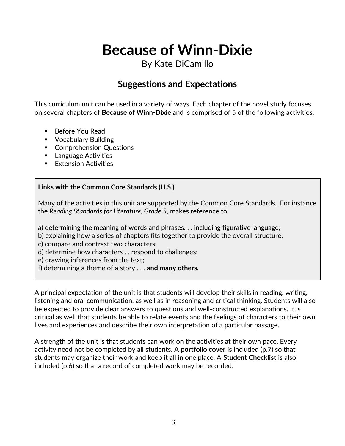## By Kate DiCamillo

## **Suggestions and Expectations**

This curriculum unit can be used in a variety of ways. Each chapter of the novel study focuses on several chapters of **Because of Winn-Dixie** and is comprised of 5 of the following activities:

- Before You Read
- **•** Vocabulary Building
- **Comprehension Questions**
- **Language Activities**
- **Extension Activities**

#### **Links with the Common Core Standards (U.S.)**

Many of the activities in this unit are supported by the Common Core Standards. For instance the *Reading Standards for Literature, Grade 5*, makes reference to

a) determining the meaning of words and phrases. . . including figurative language;

b) explaining how a series of chapters fits together to provide the overall structure;

c) compare and contrast two characters;

d) determine how characters … respond to challenges;

e) drawing inferences from the text;

f) determining a theme of a story . . . **and many others.**

A principal expectation of the unit is that students will develop their skills in reading, writing, listening and oral communication, as well as in reasoning and critical thinking. Students will also be expected to provide clear answers to questions and well-constructed explanations. It is critical as well that students be able to relate events and the feelings of characters to their own lives and experiences and describe their own interpretation of a particular passage.

A strength of the unit is that students can work on the activities at their own pace. Every activity need not be completed by all students. A **portfolio cover** is included (p.7) so that students may organize their work and keep it all in one place. A **Student Checklist** is also included (p.6) so that a record of completed work may be recorded.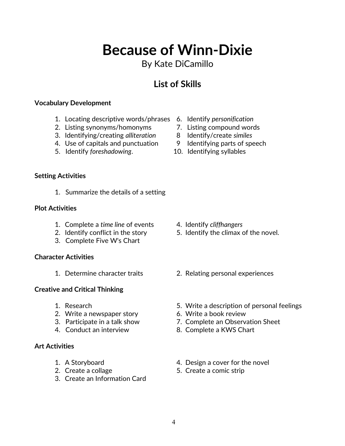## By Kate DiCamillo

## **List of Skills**

#### **Vocabulary Development**

- 1. Locating descriptive words/phrases 6. Identify *personification*
- 2. Listing synonyms/homonyms 7. Listing compound words
- 3. Identifying/creating *alliteration* 8 Identify/create *similes*
- 4. Use of capitals and punctuation 9 Identifying parts of speech
- 5. Identify *foreshadowing*. 10. Identifying syllables
- 
- 
- 
- 
- 

#### **Setting Activities**

1. Summarize the details of a setting

#### **Plot Activities**

- 1. Complete a *time line* of events 4. Identify *cliffhangers*
- 
- 3. Complete Five W's Chart

#### **Character Activities**

#### **Creative and Critical Thinking**

- 
- 2. Write a newspaper story 6. Write a book review
- 
- 

#### **Art Activities**

- 
- 
- 3. Create an Information Card
- 
- 2. Identify conflict in the story 5. Identify the climax of the novel.
- 1. Determine character traits 2. Relating personal experiences
- 1. Research 5. Write a description of personal feelings
	-
- 3. Participate in a talk show 7. Complete an Observation Sheet
- 4. Conduct an interview 8. Complete a KWS Chart
- 1. A Storyboard **1.** A Storyboard **1.** A Storyboard
- 2. Create a collage 5. Create a comic strip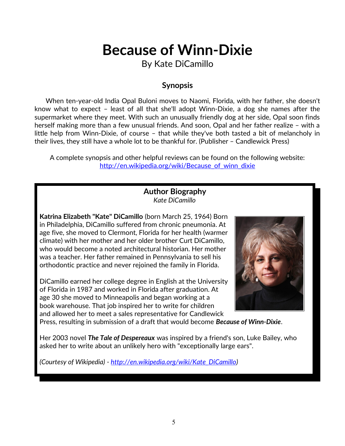By Kate DiCamillo

### **Synopsis**

 When ten-year-old India Opal Buloni moves to Naomi, Florida, with her father, she doesn't know what to expect – least of all that she'll adopt Winn-Dixie, a dog she names after the supermarket where they meet. With such an unusually friendly dog at her side, Opal soon finds herself making more than a few unusual friends. And soon, Opal and her father realize – with a little help from Winn-Dixie, of course – that while they've both tasted a bit of melancholy in their lives, they still have a whole lot to be thankful for. (Publisher – Candlewick Press)

A complete synopsis and other helpful reviews can be found on the following website: [http://en.wikipedia.org/wiki/Because\\_of\\_winn\\_dixie](http://en.wikipedia.org/wiki/Because_of_winn_dixie)

#### **Author Biography** *Kate DiCamillo*

**Katrina Elizabeth "Kate" DiCamillo** (born March 25, 1964) Born in Philadelphia, DiCamillo suffered from chronic pneumonia. At age five, she moved to Clermont, Florida for her health (warmer climate) with her mother and her older brother Curt DiCamillo, who would become a noted architectural historian. Her mother was a teacher. Her father remained in Pennsylvania to sell his orthodontic practice and never rejoined the family in Florida.

DiCamillo earned her college degree in English at the University of Florida in 1987 and worked in Florida after graduation. At age 30 she moved to Minneapolis and began working at a book warehouse. That job inspired her to write for children and allowed her to meet a sales representative for Candlewick



Press, resulting in submission of a draft that would become *Because of Winn-Dixie*.

Her 2003 novel *The Tale of Despereaux* was inspired by a friend's son, Luke Bailey, who asked her to write about an unlikely hero with "exceptionally large ears".

*(Courtesy of Wikipedia) - [http://en.wikipedia.org/wiki/Kate\\_DiCamillo\)](http://en.wikipedia.org/wiki/Kate_DiCamillo)*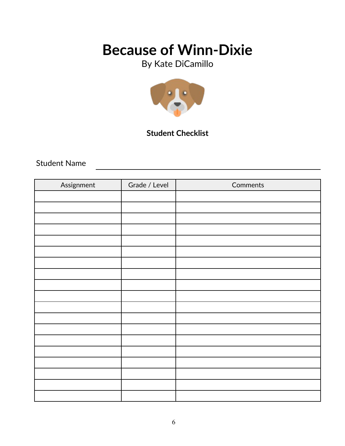By Kate DiCamillo



### **Student Checklist**

Student Name

| Assignment | Grade / Level | Comments |
|------------|---------------|----------|
|            |               |          |
|            |               |          |
|            |               |          |
|            |               |          |
|            |               |          |
|            |               |          |
|            |               |          |
|            |               |          |
|            |               |          |
|            |               |          |
|            |               |          |
|            |               |          |
|            |               |          |
|            |               |          |
|            |               |          |
|            |               |          |
|            |               |          |
|            |               |          |
|            |               |          |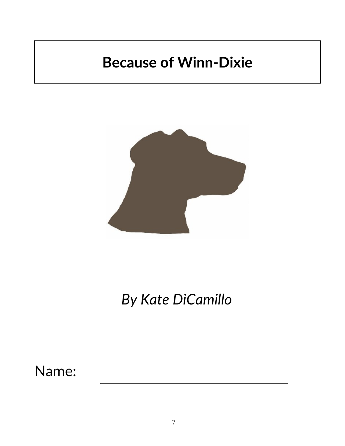

# *By Kate DiCamillo*

Name: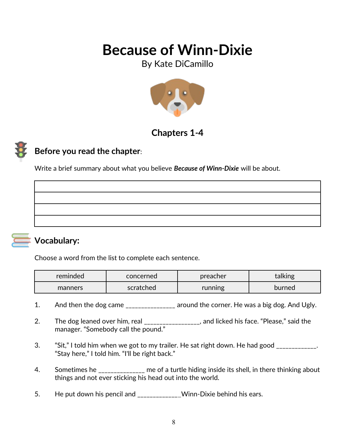By Kate DiCamillo



## **Chapters 1***-***4**

## **Before you read the chapter**:

Write a brief summary about what you believe *Because of Winn-Dixie* will be about.



### **Vocabulary:**

Choose a word from the list to complete each sentence.

| reminded | concerned | preacher | talking |
|----------|-----------|----------|---------|
| manners  | scratched | running  | burned  |

- 1. And then the dog came \_\_\_\_\_\_\_\_\_\_\_\_\_\_\_ around the corner. He was a big dog. And Ugly.
- 2. The dog leaned over him, real \_\_\_\_\_\_\_\_\_\_\_\_\_\_\_\_\_, and licked his face. "Please," said the manager. "Somebody call the pound."
- 3. "Sit," I told him when we got to my trailer. He sat right down. He had good \_\_\_\_\_\_\_\_\_\_\_\_. "Stay here," I told him. "I'll be right back."
- 4. Sometimes he \_\_\_\_\_\_\_\_\_\_\_\_\_ me of a turtle hiding inside its shell, in there thinking about things and not ever sticking his head out into the world.
- 5. He put down his pencil and \_\_\_\_\_\_\_\_\_\_\_\_Winn-Dixie behind his ears.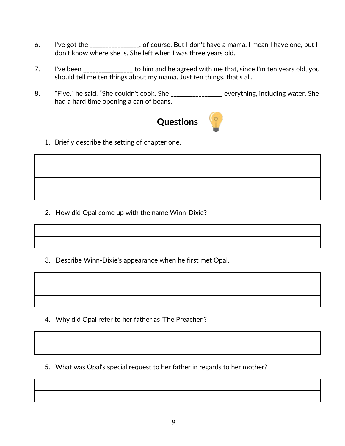- 6. I've got the \_\_\_\_\_\_\_\_\_\_\_\_\_\_, of course. But I don't have a mama. I mean I have one, but I don't know where she is. She left when I was three years old.
- 7. I've been \_\_\_\_\_\_\_\_\_\_\_\_\_\_\_\_ to him and he agreed with me that, since I'm ten years old, you should tell me ten things about my mama. Just ten things, that's all.
- 8. "Five," he said. "She couldn't cook. She \_\_\_\_\_\_\_\_\_\_\_\_\_\_\_ everything, including water. She had a hard time opening a can of beans.



1. Briefly describe the setting of chapter one.

2. How did Opal come up with the name Winn-Dixie?

3. Describe Winn-Dixie's appearance when he first met Opal.

4. Why did Opal refer to her father as 'The Preacher'?

5. What was Opal's special request to her father in regards to her mother?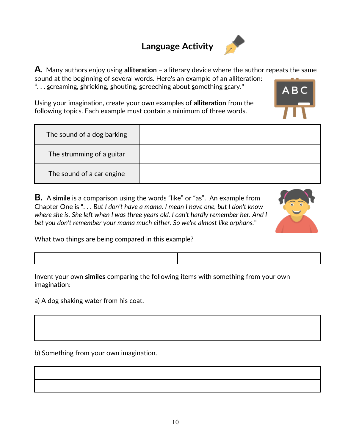## **Language Activity**



**A**. Many authors enjoy using **alliteration –** a literary device where the author repeats the same sound at the beginning of several words. Here's an example of an alliteration: ". . . **s**creaming, **s**hrieking, **s**houting, **s**creeching about **s**omething **s**cary."

Using your imagination, create your own examples of **alliteration** from the following topics. Each example must contain a minimum of three words.

| The sound of a dog barking |  |
|----------------------------|--|
| The strumming of a guitar  |  |
| The sound of a car engine  |  |

**B.** A **simile** is a comparison using the words "like" or "as". An example from Chapter One is ". . . *But I don't have a mama. I mean I have one, but I don't know where she is. She left when I was three years old. I can't hardly remember her. And I bet you don't remember your mama much either. So we're almost like orphans.*"

What two things are being compared in this example?

Invent your own **similes** comparing the following items with something from your own imagination:

a) A dog shaking water from his coat.

b) Something from your own imagination.